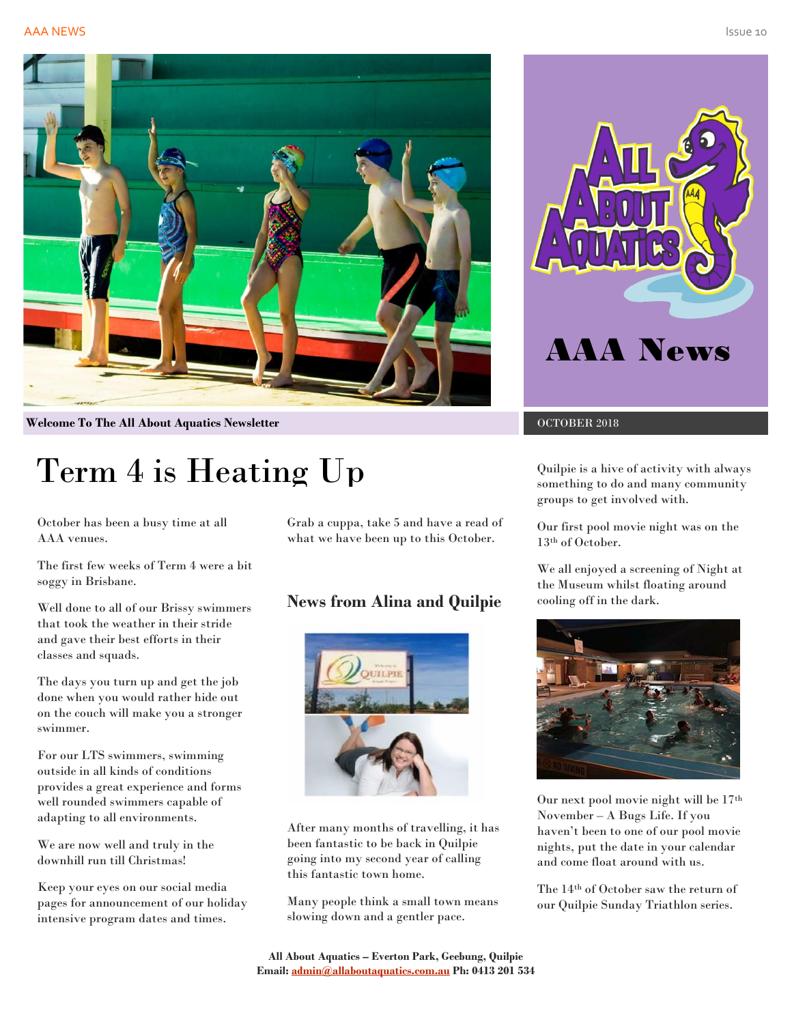#### **AAA NEWS Issue 20 AAA NEWS Issue 20 AAA NEWS ISSUE 20 AAA NEWS ISSUE 20 AAA NEWS ISSUE 20 AAA NEWS ISSUE 20 AA**



**Welcome To The All About Aquatics Newsletter Community COLOGER 2018** 

# Term 4 is Heating Up

October has been a busy time at all AAA venues.

The first few weeks of Term 4 were a bit soggy in Brisbane.

Well done to all of our Brissy swimmers that took the weather in their stride and gave their best efforts in their classes and squads.

The days you turn up and get the job done when you would rather hide out on the couch will make you a stronger swimmer.

For our LTS swimmers, swimming outside in all kinds of conditions provides a great experience and forms well rounded swimmers capable of adapting to all environments.

We are now well and truly in the downhill run till Christmas!

Keep your eyes on our social media pages for announcement of our holiday intensive program dates and times.

Grab a cuppa, take 5 and have a read of what we have been up to this October.

## **News from Alina and Quilpie**



After many months of travelling, it has been fantastic to be back in Quilpie going into my second year of calling this fantastic town home.

Many people think a small town means slowing down and a gentler pace.



Quilpie is a hive of activity with always something to do and many community groups to get involved with.

Our first pool movie night was on the 13th of October.

We all enjoyed a screening of Night at the Museum whilst floating around cooling off in the dark.



Our next pool movie night will be 17th November – A Bugs Life. If you haven't been to one of our pool movie nights, put the date in your calendar and come float around with us.

The 14th of October saw the return of our Quilpie Sunday Triathlon series.

**All About Aquatics – Everton Park, Geebung, Quilpie Email[: admin@allaboutaquatics.com.au](mailto:admin@allaboutaquatics.com.au) Ph: 0413 201 534**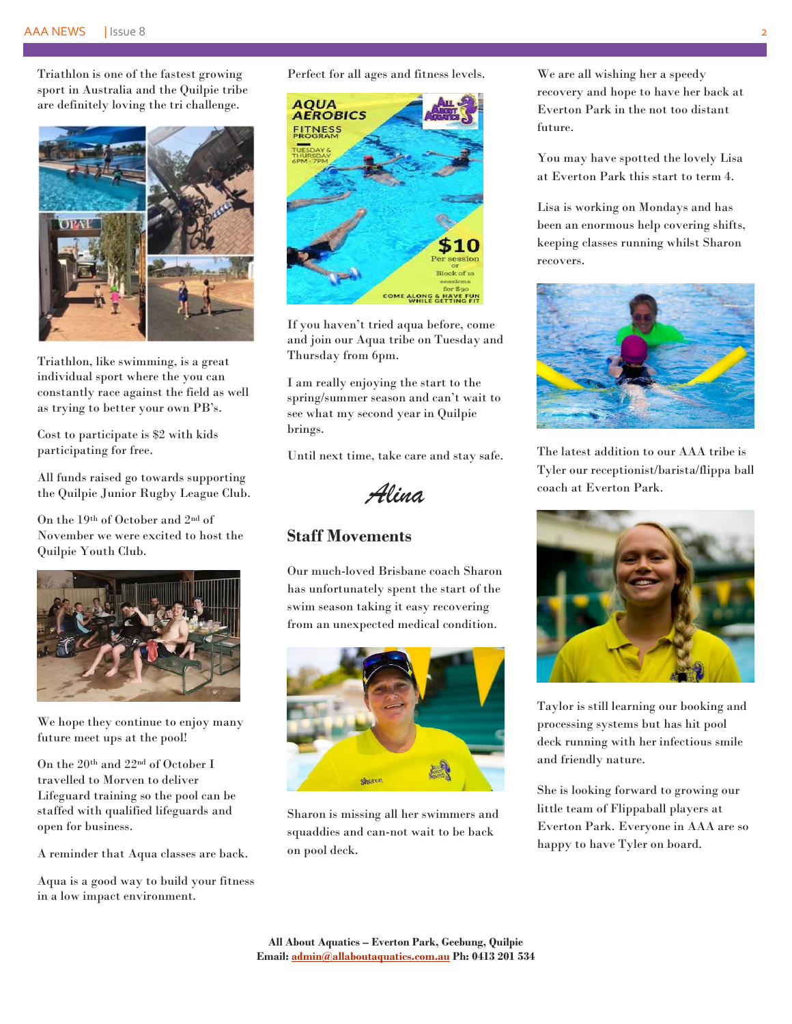Triathlon is one of the fastest growing sport in Australia and the Quilpie tribe are definitely loving the tri challenge.



Triathlon, like swimming, is a great individual sport where the you can constantly race against the field as well as trying to better your own PB's.

Cost to participate is \$2 with kids participating for free.

All funds raised go towards supporting the Quilpie Junior Rugby League Club.

On the 19th of October and 2nd of November we were excited to host the Quilpie Youth Club.



We hope they continue to enjoy many future meet ups at the pool!

On the  $20<sup>th</sup>$  and  $22<sup>nd</sup>$  of October I travelled to Morven to deliver Lifeguard training so the pool can be staffed with qualified lifeguards and open for business.

A reminder that Aqua classes are back.

Aqua is a good way to build your fitness in a low impact environment.

Perfect for all ages and fitness levels.



If you haven't tried aqua before, come and join our Aqua tribe on Tuesday and Thursday from 6pm.

I am really enjoying the start to the spring/summer season and can't wait to see what my second year in Quilpie brings.

Until next time, take care and stay safe.

*Alina*

## **Staff Movements**

Our much-loved Brisbane coach Sharon has unfortunately spent the start of the swim season taking it easy recovering from an unexpected medical condition.



Sharon is missing all her swimmers and squaddies and can-not wait to be back on pool deck.

We are all wishing her a speedy recovery and hope to have her back at Everton Park in the not too distant future.

You may have spotted the lovely Lisa at Everton Park this start to term 4.

Lisa is working on Mondays and has been an enormous help covering shifts, keeping classes running whilst Sharon recovers.



The latest addition to our AAA tribe is Tyler our receptionist/barista/flippa ball coach at Everton Park.



Taylor is still learning our booking and processing systems but has hit pool deck running with her infectious smile and friendly nature.

She is looking forward to growing our little team of Flippaball players at Everton Park. Everyone in AAA are so happy to have Tyler on board.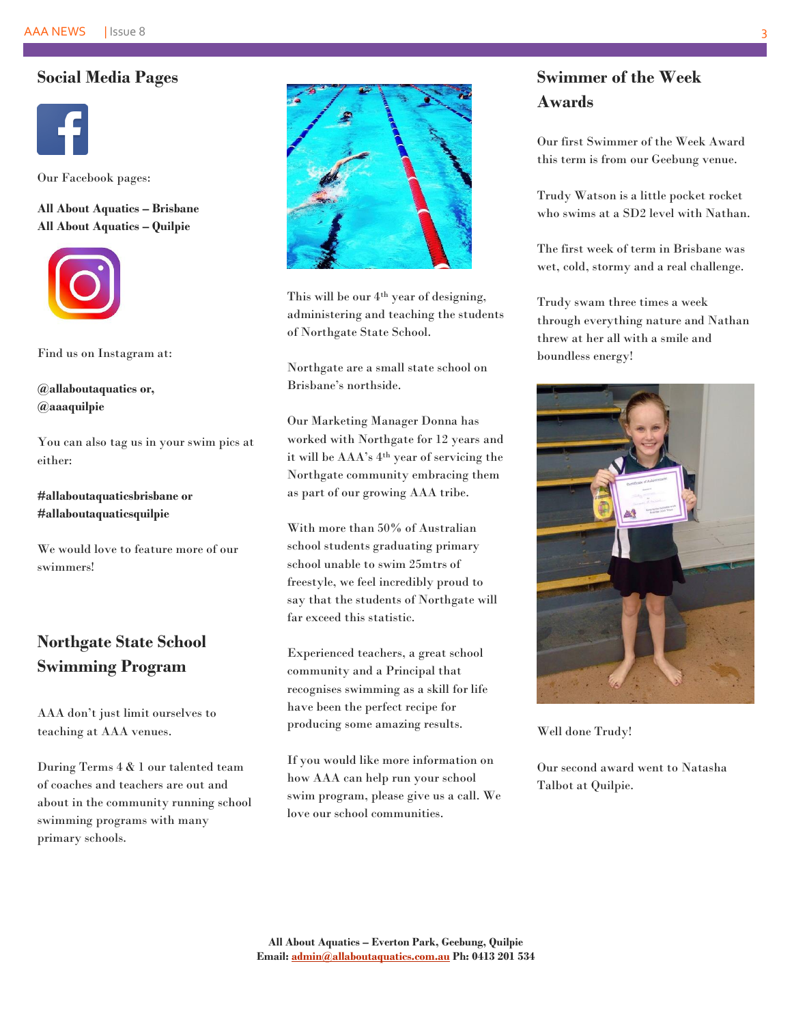### **Social Media Pages**



Our Facebook pages:

**All About Aquatics – Brisbane All About Aquatics – Quilpie**



Find us on Instagram at:

**@allaboutaquatics or, @aaaquilpie**

You can also tag us in your swim pics at either:

**#allaboutaquaticsbrisbane or #allaboutaquaticsquilpie**

We would love to feature more of our swimmers!

# **Northgate State School Swimming Program**

AAA don't just limit ourselves to teaching at AAA venues.

During Terms 4 & 1 our talented team of coaches and teachers are out and about in the community running school swimming programs with many primary schools.



This will be our  $4<sup>th</sup>$  year of designing, administering and teaching the students of Northgate State School.

Northgate are a small state school on Brisbane's northside.

Our Marketing Manager Donna has worked with Northgate for 12 years and it will be AAA's 4th year of servicing the Northgate community embracing them as part of our growing AAA tribe.

With more than 50% of Australian school students graduating primary school unable to swim 25mtrs of freestyle, we feel incredibly proud to say that the students of Northgate will far exceed this statistic.

Experienced teachers, a great school community and a Principal that recognises swimming as a skill for life have been the perfect recipe for producing some amazing results.

If you would like more information on how AAA can help run your school swim program, please give us a call. We love our school communities.

# **Swimmer of the Week Awards**

Our first Swimmer of the Week Award this term is from our Geebung venue.

Trudy Watson is a little pocket rocket who swims at a SD2 level with Nathan.

The first week of term in Brisbane was wet, cold, stormy and a real challenge.

Trudy swam three times a week through everything nature and Nathan threw at her all with a smile and boundless energy!



Well done Trudy!

Our second award went to Natasha Talbot at Quilpie.